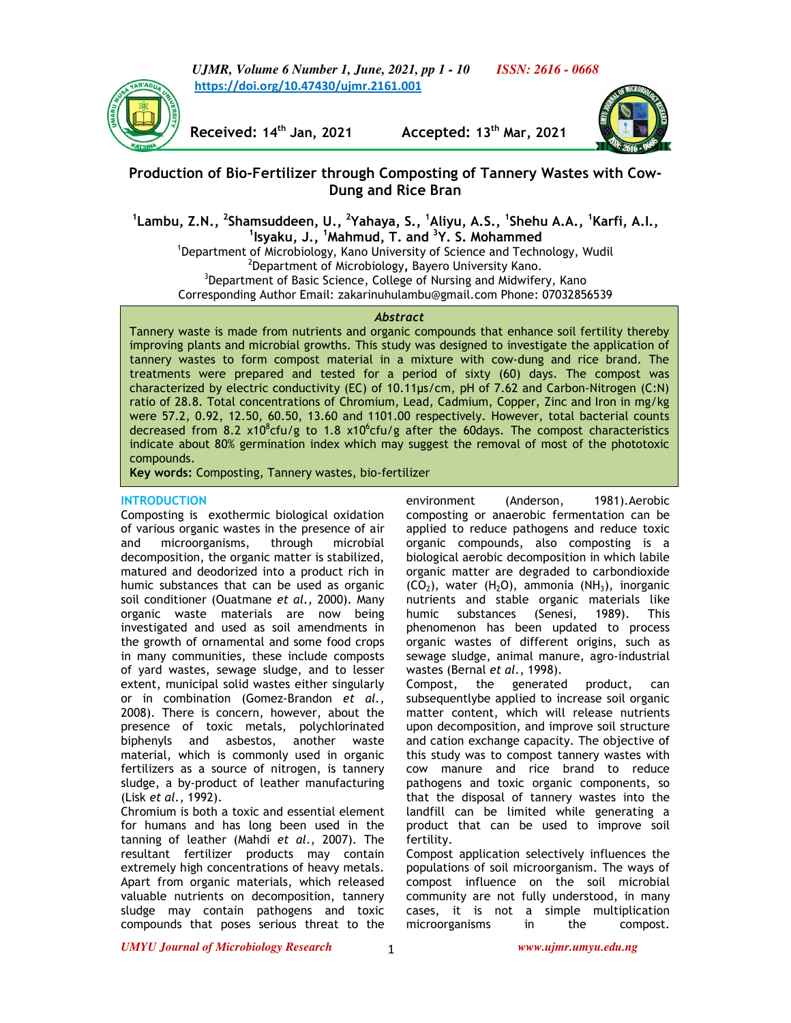*UJMR, Volume 6 Number 1, June, 2021, pp 1 - 10 ISSN: 2616 - 0668* **https://doi.org/10.47430/ujmr.2161.001**

**Received: 14th Jan, 2021 Accepted: 13th Mar, 2021**



# **Production of Bio-Fertilizer through Composting of Tannery Wastes with Cow-Dung and Rice Bran**

**1 Lambu, Z.N., <sup>2</sup> Shamsuddeen, U., <sup>2</sup> Yahaya, S., <sup>1</sup>Aliyu, A.S., <sup>1</sup> Shehu A.A., <sup>1</sup>Karfi, A.I., 1 Isyaku, J., <sup>1</sup>Mahmud, T. and <sup>3</sup>Y. S. Mohammed** 

<sup>1</sup>Department of Microbiology, Kano University of Science and Technology, Wudil 2 Department of Microbiology**,** Bayero University Kano. <sup>3</sup>Department of Basic Science, College of Nursing and Midwifery, Kano Corresponding Author Email: zakarinuhulambu@gmail.com Phone: 07032856539

### *Abstract*

Tannery waste is made from nutrients and organic compounds that enhance soil fertility thereby improving plants and microbial growths. This study was designed to investigate the application of tannery wastes to form compost material in a mixture with cow-dung and rice brand. The treatments were prepared and tested for a period of sixty (60) days. The compost was characterized by electric conductivity (EC) of 10.11µs/cm, pH of 7.62 and Carbon-Nitrogen (C:N) ratio of 28.8. Total concentrations of Chromium, Lead, Cadmium, Copper, Zinc and Iron in mg/kg were 57.2, 0.92, 12.50, 60.50, 13.60 and 1101.00 respectively. However, total bacterial counts decreased from 8.2 x10<sup>8</sup>cfu/g to 1.8 x10<sup>6</sup>cfu/g after the 60days. The compost characteristics indicate about 80% germination index which may suggest the removal of most of the phototoxic compounds.

**Key words:** Composting, Tannery wastes, bio-fertilizer

# **INTRODUCTION**

Composting is exothermic biological oxidation of various organic wastes in the presence of air and microorganisms, through microbial decomposition, the organic matter is stabilized, matured and deodorized into a product rich in humic substances that can be used as organic soil conditioner (Ouatmane *et al.,* 2000). Many organic waste materials are now being investigated and used as soil amendments in the growth of ornamental and some food crops in many communities, these include composts of yard wastes, sewage sludge, and to lesser extent, municipal solid wastes either singularly or in combination (Gomez-Brandon *et al.,*  2008). There is concern, however, about the presence of toxic metals, polychlorinated biphenyls and asbestos, another waste material, which is commonly used in organic fertilizers as a source of nitrogen, is tannery sludge, a by-product of leather manufacturing (Lisk *et al.,* 1992).

Chromium is both a toxic and essential element for humans and has long been used in the tanning of leather (Mahdi *et al.,* 2007). The resultant fertilizer products may contain extremely high concentrations of heavy metals. Apart from organic materials, which released valuable nutrients on decomposition, tannery sludge may contain pathogens and toxic compounds that poses serious threat to the environment (Anderson, 1981).Aerobic composting or anaerobic fermentation can be applied to reduce pathogens and reduce toxic organic compounds, also composting is a biological aerobic decomposition in which labile organic matter are degraded to carbondioxide  $(CO<sub>2</sub>)$ , water  $(H<sub>2</sub>O)$ , ammonia  $(NH<sub>3</sub>)$ , inorganic nutrients and stable organic materials like humic substances (Senesi, 1989). This phenomenon has been updated to process organic wastes of different origins, such as sewage sludge, animal manure, agro-industrial wastes (Bernal *et al*., 1998).

Compost, the generated product, can subsequentlybe applied to increase soil organic matter content, which will release nutrients upon decomposition, and improve soil structure and cation exchange capacity. The objective of this study was to compost tannery wastes with cow manure and rice brand to reduce pathogens and toxic organic components, so that the disposal of tannery wastes into the landfill can be limited while generating a product that can be used to improve soil fertility.

Compost application selectively influences the populations of soil microorganism. The ways of compost influence on the soil microbial community are not fully understood, in many cases, it is not a simple multiplication microorganisms in the compost.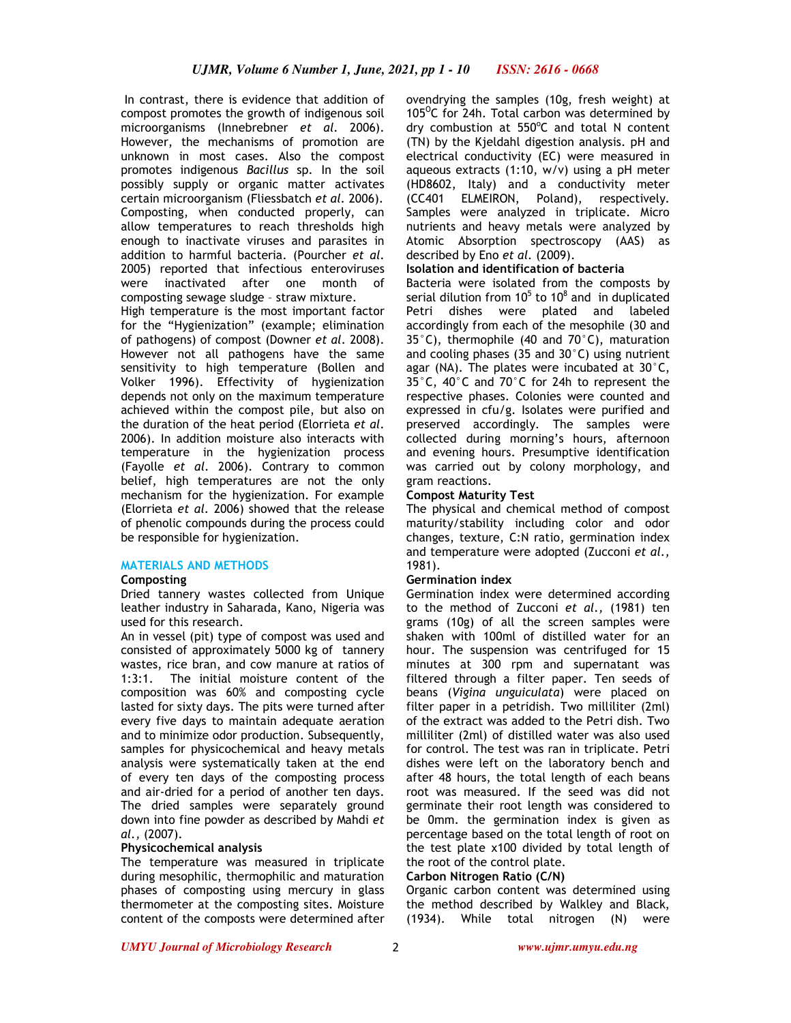In contrast, there is evidence that addition of compost promotes the growth of indigenous soil microorganisms (Innebrebner *et al.* 2006). However, the mechanisms of promotion are unknown in most cases. Also the compost promotes indigenous *Bacillus* sp. In the soil possibly supply or organic matter activates certain microorganism (Fliessbatch *et al.* 2006). Composting, when conducted properly, can allow temperatures to reach thresholds high enough to inactivate viruses and parasites in addition to harmful bacteria. (Pourcher *et al*. 2005) reported that infectious enteroviruses were inactivated after one month of composting sewage sludge – straw mixture.

High temperature is the most important factor for the "Hygienization" (example; elimination of pathogens) of compost (Downer *et al*. 2008). However not all pathogens have the same sensitivity to high temperature (Bollen and Volker 1996). Effectivity of hygienization depends not only on the maximum temperature achieved within the compost pile, but also on the duration of the heat period (Elorrieta *et al*. 2006). In addition moisture also interacts with temperature in the hygienization process (Fayolle *et al*. 2006). Contrary to common belief, high temperatures are not the only mechanism for the hygienization. For example (Elorrieta *et al.* 2006) showed that the release of phenolic compounds during the process could be responsible for hygienization.

### **MATERIALS AND METHODS**

### **Composting**

Dried tannery wastes collected from Unique leather industry in Saharada, Kano, Nigeria was used for this research.

An in vessel (pit) type of compost was used and consisted of approximately 5000 kg of tannery wastes, rice bran, and cow manure at ratios of 1:3:1. The initial moisture content of the composition was 60% and composting cycle lasted for sixty days. The pits were turned after every five days to maintain adequate aeration and to minimize odor production. Subsequently, samples for physicochemical and heavy metals analysis were systematically taken at the end of every ten days of the composting process and air-dried for a period of another ten days. The dried samples were separately ground down into fine powder as described by Mahdi *et al.,* (2007).

### **Physicochemical analysis**

The temperature was measured in triplicate during mesophilic, thermophilic and maturation phases of composting using mercury in glass thermometer at the composting sites. Moisture content of the composts were determined after ovendrying the samples (10g, fresh weight) at 105 $^{\circ}$ C for 24h. Total carbon was determined by dry combustion at 550°C and total N content (TN) by the Kjeldahl digestion analysis. pH and electrical conductivity (EC) were measured in aqueous extracts (1:10, w/v) using a pH meter (HD8602, Italy) and a conductivity meter (CC401 ELMEIRON, Poland), respectively. Samples were analyzed in triplicate. Micro nutrients and heavy metals were analyzed by Atomic Absorption spectroscopy (AAS) as described by Eno *et al.* (2009).

# **Isolation and identification of bacteria**

Bacteria were isolated from the composts by serial dilution from 10 $5$  to 10 $8$  and in duplicated Petri dishes were plated and labeled accordingly from each of the mesophile (30 and 35°C), thermophile (40 and 70°C), maturation and cooling phases (35 and 30°C) using nutrient agar (NA). The plates were incubated at 30°C, 35°C, 40°C and 70°C for 24h to represent the respective phases. Colonies were counted and expressed in cfu/g. Isolates were purified and preserved accordingly. The samples were collected during morning's hours, afternoon and evening hours. Presumptive identification was carried out by colony morphology, and gram reactions.

### **Compost Maturity Test**

The physical and chemical method of compost maturity/stability including color and odor changes, texture, C:N ratio, germination index and temperature were adopted (Zucconi *et al.,*  1981).

### **Germination index**

Germination index were determined according to the method of Zucconi *et al.,* (1981) ten grams (10g) of all the screen samples were shaken with 100ml of distilled water for an hour. The suspension was centrifuged for 15 minutes at 300 rpm and supernatant was filtered through a filter paper. Ten seeds of beans (*Vigina unguiculata*) were placed on filter paper in a petridish. Two milliliter (2ml) of the extract was added to the Petri dish. Two milliliter (2ml) of distilled water was also used for control. The test was ran in triplicate. Petri dishes were left on the laboratory bench and after 48 hours, the total length of each beans root was measured. If the seed was did not germinate their root length was considered to be 0mm. the germination index is given as percentage based on the total length of root on the test plate x100 divided by total length of the root of the control plate.

### **Carbon Nitrogen Ratio (C/N)**

Organic carbon content was determined using the method described by Walkley and Black, (1934). While total nitrogen (N) were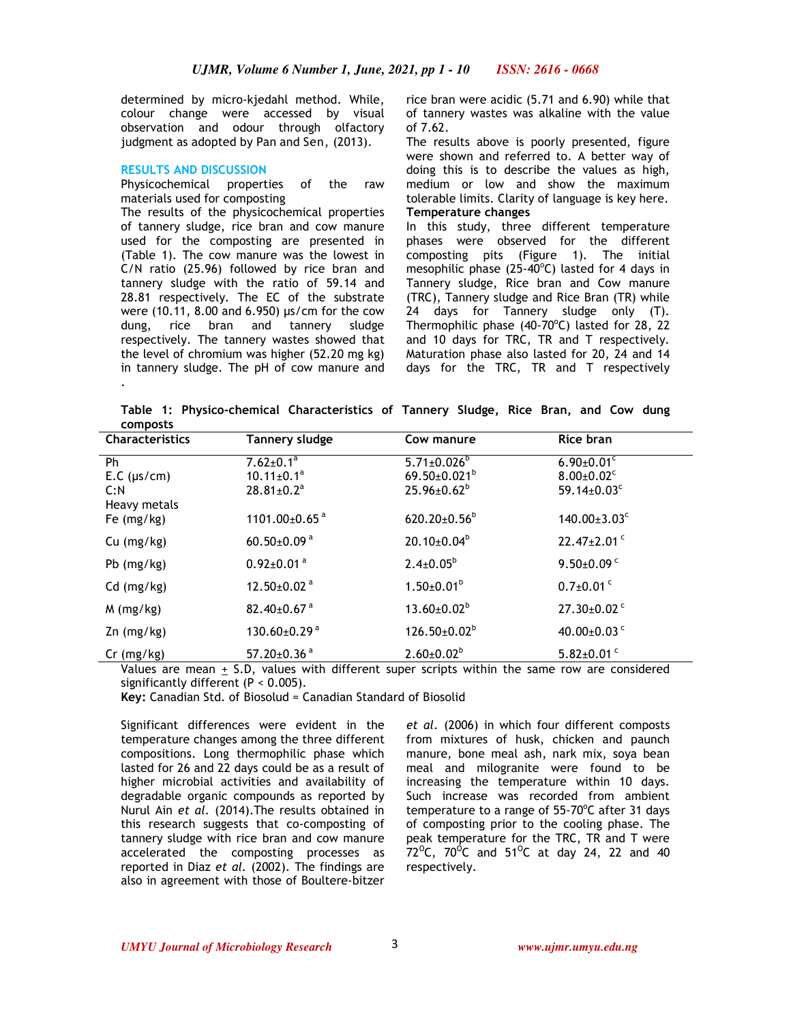determined by micro-kjedahl method. While, colour change were accessed by visual observation and odour through olfactory judgment as adopted by Pan and Sen, (2013).

#### **RESULTS AND DISCUSSION**

Physicochemical properties of the raw materials used for composting

The results of the physicochemical properties of tannery sludge, rice bran and cow manure used for the composting are presented in (Table 1). The cow manure was the lowest in C/N ratio (25.96) followed by rice bran and tannery sludge with the ratio of 59.14 and 28.81 respectively. The EC of the substrate were (10.11, 8.00 and 6.950) µs/cm for the cow dung, rice bran and tannery sludge respectively. The tannery wastes showed that the level of chromium was higher (52.20 mg kg) in tannery sludge. The pH of cow manure and .

rice bran were acidic (5.71 and 6.90) while that of tannery wastes was alkaline with the value of 7.62.

The results above is poorly presented, figure were shown and referred to. A better way of doing this is to describe the values as high, medium or low and show the maximum tolerable limits. Clarity of language is key here. **Temperature changes** 

In this study, three different temperature phases were observed for the different composting pits (Figure 1). The initial mesophilic phase  $(25-40^{\circ}C)$  lasted for 4 days in Tannery sludge, Rice bran and Cow manure (TRC), Tannery sludge and Rice Bran (TR) while 24 days for Tannery sludge only (T). Thermophilic phase  $(40-70^{\circ}C)$  lasted for 28, 22 and 10 days for TRC, TR and T respectively. Maturation phase also lasted for 20, 24 and 14 days for the TRC, TR and T respectively

**Table 1: Physico-chemical Characteristics of Tannery Sludge, Rice Bran, and Cow dung composts**

| <b>Characteristics</b> | Tannery sludge                      | Cow manure                                 | Rice bran                                       |
|------------------------|-------------------------------------|--------------------------------------------|-------------------------------------------------|
| Ph                     | $7.62 \pm 0.1^a$                    | $5.71 \pm 0.026^{\circ}$                   | $6.90 \pm 0.01$ <sup>c</sup>                    |
| E.C (µs/cm)            | $10.11 \pm 0.1^a$                   | $69.50 \pm 0.021^b$                        | $8.00 \pm 0.02$ <sup>c</sup>                    |
| C:N                    | $28.81 \pm 0.2$ <sup>a</sup>        | $25.96 \pm 0.62^b$                         | 59.14 $\pm$ 0.03 $\text{c}$                     |
| Heavy metals           |                                     |                                            |                                                 |
| Fe $(mg/kg)$           | 1101.00±0.65 <sup>a</sup>           | $620.20 \pm 0.56^b$                        | $140.00 \pm 3.03$ <sup>c</sup>                  |
| $Cu$ (mg/kg)           | 60.50±0.09 $a$                      | $20.10{\pm}0.04^b$                         | 22.47±2.01 <sup>c</sup>                         |
| Pb $(mg/kg)$           | $0.92 \pm 0.01$ <sup>a</sup>        | $2.4 \pm 0.05^b$                           | $9.50\pm0.09$ <sup>c</sup>                      |
| $Cd$ (mg/kg)           | 12.50±0.02 $a$                      | $1.50 \pm 0.01^b$                          | $0.7\pm0.01$ <sup>c</sup>                       |
| $M$ (mg/kg)            | 82.40 $\pm$ 0.67 $a$                | $13.60 \pm 0.02^b$                         | $27.30\pm0.02$ <sup>c</sup>                     |
| $Zn$ (mg/kg)           | $130.60\pm0.29$ <sup>a</sup>        | $126.50 \pm 0.02^b$                        | 40.00±0.03 $^{\circ}$                           |
| $Cr$ (mg/kg)           | 57.20±0.36 <sup>a</sup><br>$\cdots$ | $2.60 \pm 0.02^b$<br>$\cdots$<br>$\sim$ 1. | $5.82 \pm 0.01$ <sup>c</sup><br>$\cdot$ $\cdot$ |

Values are mean  $\pm$  S.D, values with different super scripts within the same row are considered significantly different (P < 0.005).

**Key:** Canadian Std. of Biosolud = Canadian Standard of Biosolid

Significant differences were evident in the temperature changes among the three different compositions. Long thermophilic phase which lasted for 26 and 22 days could be as a result of higher microbial activities and availability of degradable organic compounds as reported by Nurul Ain *et al.* (2014).The results obtained in this research suggests that co-composting of tannery sludge with rice bran and cow manure accelerated the composting processes as reported in Diaz *et al.* (2002). The findings are also in agreement with those of Boultere-bitzer

*et al.* (2006) in which four different composts from mixtures of husk, chicken and paunch manure, bone meal ash, nark mix, soya bean meal and milogranite were found to be increasing the temperature within 10 days. Such increase was recorded from ambient temperature to a range of  $55-70^{\circ}$ C after 31 days of composting prior to the cooling phase. The peak temperature for the TRC, TR and T were  $72^{\circ}$ C, 70 $^{\circ}$ C and 51 $^{\circ}$ C at day 24, 22 and 40 respectively.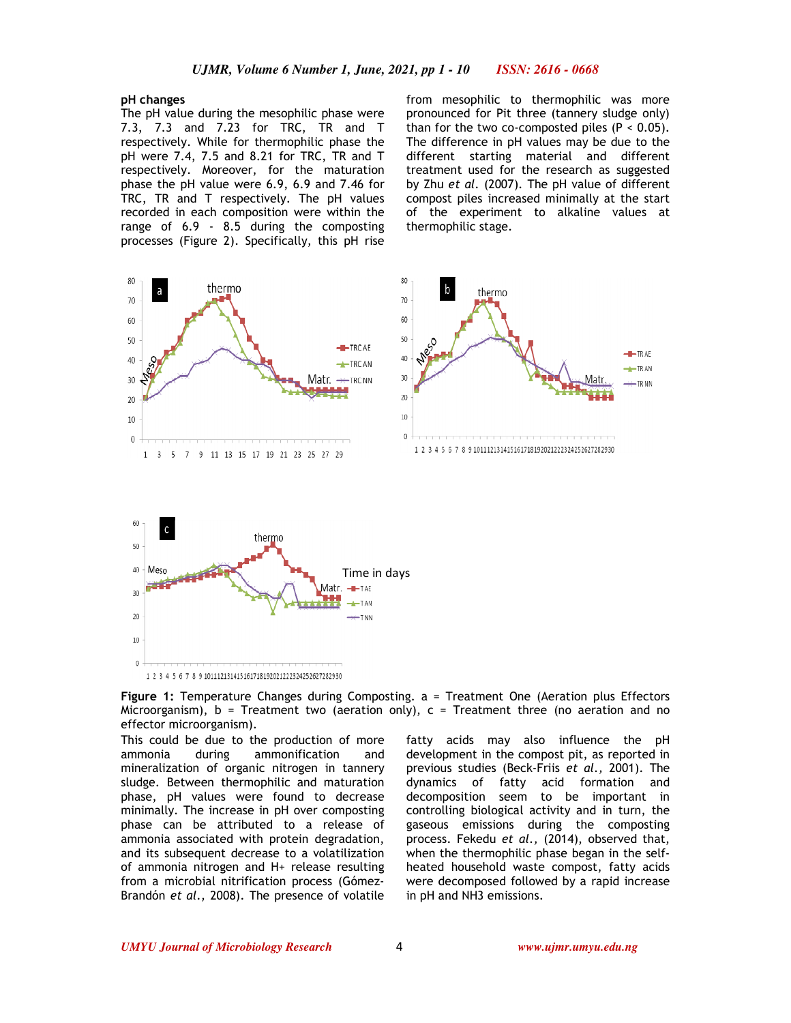### **pH changes**

The pH value during the mesophilic phase were 7.3, 7.3 and 7.23 for TRC, TR and T respectively. While for thermophilic phase the pH were 7.4, 7.5 and 8.21 for TRC, TR and T respectively. Moreover, for the maturation phase the pH value were 6.9, 6.9 and 7.46 for TRC, TR and T respectively. The pH values recorded in each composition were within the range of 6.9 - 8.5 during the composting processes (Figure 2). Specifically, this pH rise

from mesophilic to thermophilic was more pronounced for Pit three (tannery sludge only) than for the two co-composted piles  $(P < 0.05)$ . The difference in pH values may be due to the different starting material and different treatment used for the research as suggested by Zhu *et al.* (2007). The pH value of different compost piles increased minimally at the start of the experiment to alkaline values at thermophilic stage.



1 2 3 4 5 6 7 8 9 101112131415161718192021222324252627282930

**Figure 1:** Temperature Changes during Composting. a = Treatment One (Aeration plus Effectors Microorganism),  $b = Treatment two (aeration only),  $c = Treatment three (no aeration and no$$ effector microorganism).

This could be due to the production of more ammonia during ammonification and mineralization of organic nitrogen in tannery sludge. Between thermophilic and maturation phase, pH values were found to decrease minimally. The increase in pH over composting phase can be attributed to a release of ammonia associated with protein degradation, and its subsequent decrease to a volatilization of ammonia nitrogen and H+ release resulting from a microbial nitrification process (Gómez-Brandón *et al.,* 2008). The presence of volatile fatty acids may also influence the pH development in the compost pit, as reported in previous studies (Beck-Friis *et al.,* 2001). The dynamics of fatty acid formation and decomposition seem to be important in controlling biological activity and in turn, the gaseous emissions during the composting process. Fekedu *et al.,* (2014), observed that, when the thermophilic phase began in the selfheated household waste compost, fatty acids were decomposed followed by a rapid increase in pH and NH3 emissions.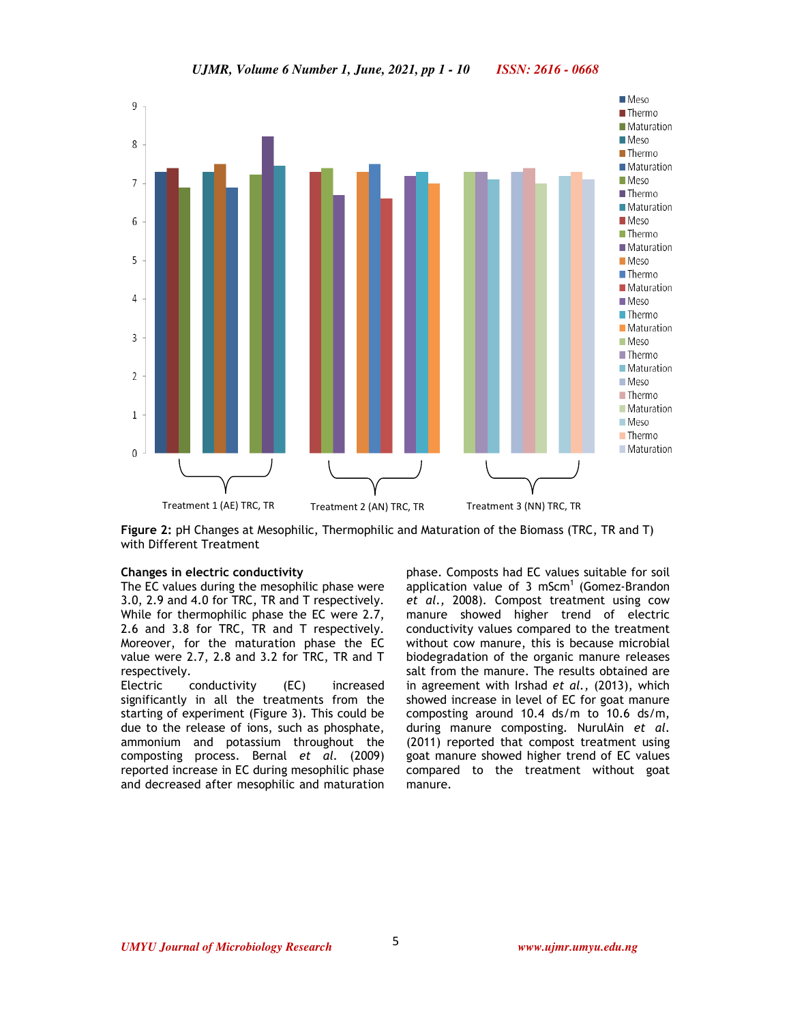

**Figure 2:** pH Changes at Mesophilic, Thermophilic and Maturation of the Biomass (TRC, TR and T) with Different Treatment

### **Changes in electric conductivity**

The EC values during the mesophilic phase were 3.0, 2.9 and 4.0 for TRC, TR and T respectively. While for thermophilic phase the EC were 2.7, 2.6 and 3.8 for TRC, TR and T respectively. Moreover, for the maturation phase the EC value were 2.7, 2.8 and 3.2 for TRC, TR and T respectively.

Electric conductivity (EC) increased significantly in all the treatments from the starting of experiment (Figure 3). This could be due to the release of ions, such as phosphate, ammonium and potassium throughout the composting process. Bernal *et al.* (2009) reported increase in EC during mesophilic phase and decreased after mesophilic and maturation phase. Composts had EC values suitable for soil application value of 3 mScm<sup>1</sup> (Gomez-Brandon *et al.,* 2008). Compost treatment using cow manure showed higher trend of electric conductivity values compared to the treatment without cow manure, this is because microbial biodegradation of the organic manure releases salt from the manure. The results obtained are in agreement with Irshad *et al.,* (2013), which showed increase in level of EC for goat manure composting around 10.4 ds/m to 10.6 ds/m, during manure composting. NurulAin *et al*. (2011) reported that compost treatment using goat manure showed higher trend of EC values compared to the treatment without goat manure.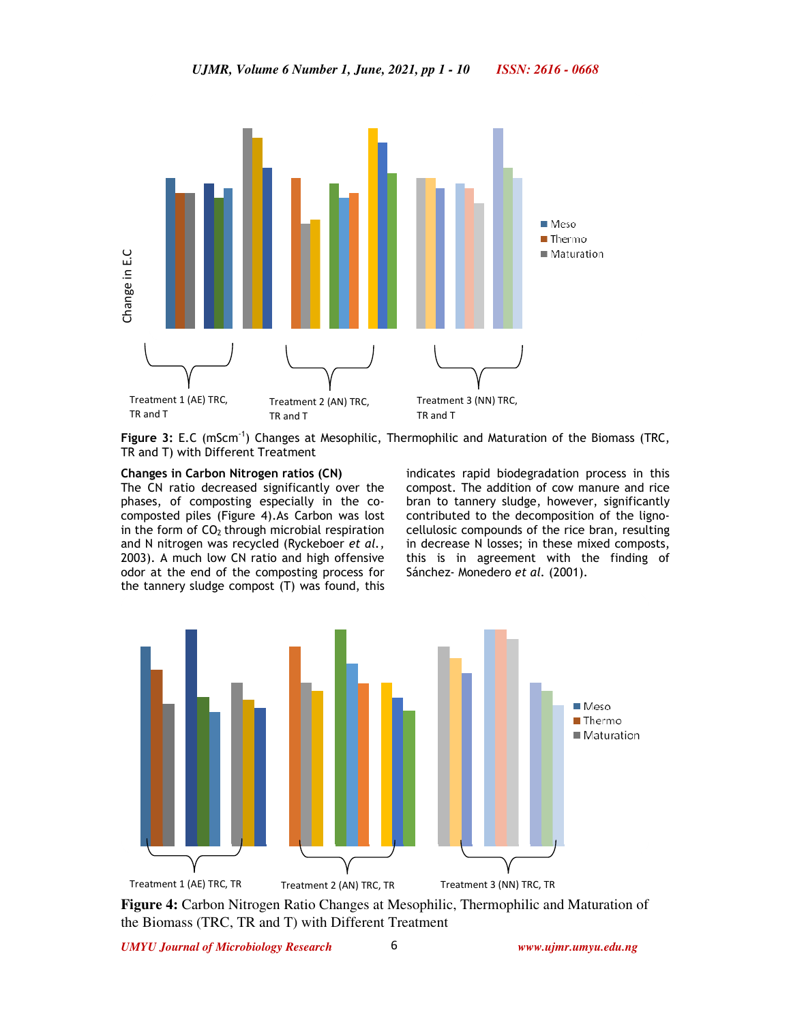

Figure 3: E.C (mScm<sup>-1</sup>) Changes at Mesophilic, Thermophilic and Maturation of the Biomass (TRC, TR and T) with Different Treatment

### **Changes in Carbon Nitrogen ratios (CN)**

The CN ratio decreased significantly over the phases, of composting especially in the cocomposted piles (Figure 4).As Carbon was lost in the form of  $CO<sub>2</sub>$  through microbial respiration and N nitrogen was recycled (Ryckeboer *et al.,* 2003). A much low CN ratio and high offensive odor at the end of the composting process for the tannery sludge compost (T) was found, this

indicates rapid biodegradation process in this compost. The addition of cow manure and rice bran to tannery sludge, however, significantly contributed to the decomposition of the lignocellulosic compounds of the rice bran, resulting in decrease N losses; in these mixed composts, this is in agreement with the finding of Sánchez- Monedero *et al.* (2001).



**Figure 4:** Carbon Nitrogen Ratio Changes at Mesophilic, Thermophilic and Maturation of the Biomass (TRC, TR and T) with Different Treatment

6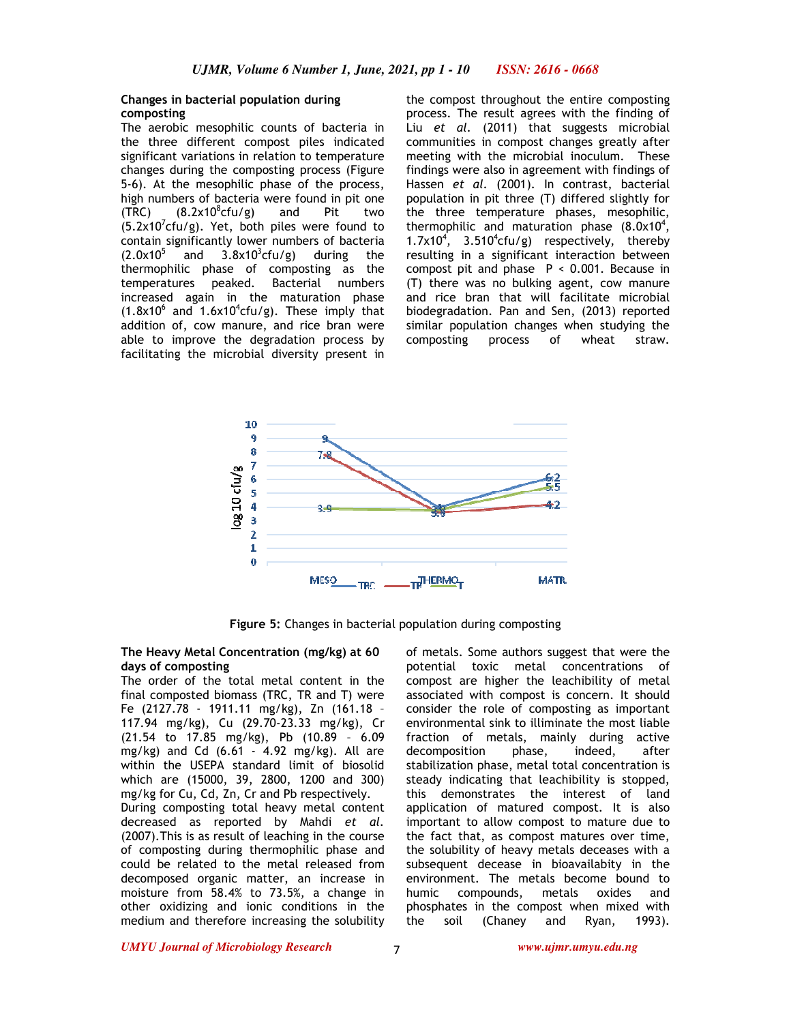# **Changes in bacterial population during composting**

The aerobic mesophilic counts of bacteria in the three different compost piles indicated significant variations in relation to temperature changes during the composting process (Figure 5-6). At the mesophilic phase of the process, high numbers of bacteria were found in pit one  $(TRC)$   $(8.2 \times 10^8$ cfu/g) and Pit two  $(5.2 \times 10^{7}$ cfu/g). Yet, both piles were found to contain significantly lower numbers of bacteria  $(2.0x10<sup>5</sup>)$ and  $3.8 \times 10^3$ cfu/g) during the thermophilic phase of composting as the temperatures peaked. Bacterial numbers increased again in the maturation phase  $(1.8x10^6$  and  $1.6x10^4$ cfu/g). These imply that addition of, cow manure, and rice bran were able to improve the degradation process by facilitating the microbial diversity present in

the compost throughout the entire composting process. The result agrees with the finding of Liu *et al.* (2011) that suggests microbial communities in compost changes greatly after meeting with the microbial inoculum. These findings were also in agreement with findings of Hassen *et al.* (2001). In contrast, bacterial population in pit three (T) differed slightly for the three temperature phases, mesophilic, thermophilic and maturation phase  $(8.0x10<sup>4</sup>,$ 1.7 $x10<sup>4</sup>$ , 3.510<sup>4</sup>cfu/g) respectively, thereby resulting in a significant interaction between compost pit and phase  $P < 0.001$ . Because in (T) there was no bulking agent, cow manure and rice bran that will facilitate microbial biodegradation. Pan and Sen, (2013) reported similar population changes when studying the composting process of wheat straw.



**Figure 5:** Changes in bacterial population during composting

### **The Heavy Metal Concentration (mg/kg) at 60 days of composting**

The order of the total metal content in the final composted biomass (TRC, TR and T) were Fe (2127.78 - 1911.11 mg/kg), Zn (161.18 – 117.94 mg/kg), Cu (29.70-23.33 mg/kg), Cr (21.54 to 17.85 mg/kg), Pb (10.89 – 6.09 mg/kg) and Cd (6.61 - 4.92 mg/kg). All are within the USEPA standard limit of biosolid which are (15000, 39, 2800, 1200 and 300) mg/kg for Cu, Cd, Zn, Cr and Pb respectively. During composting total heavy metal content decreased as reported by Mahdi *et al.* (2007).This is as result of leaching in the course of composting during thermophilic phase and could be related to the metal released from decomposed organic matter, an increase in moisture from 58.4% to 73.5%, a change in other oxidizing and ionic conditions in the medium and therefore increasing the solubility

of metals. Some authors suggest that were the potential toxic metal concentrations of compost are higher the leachibility of metal associated with compost is concern. It should consider the role of composting as important environmental sink to illiminate the most liable fraction of metals, mainly during active decomposition phase, indeed, after stabilization phase, metal total concentration is steady indicating that leachibility is stopped, this demonstrates the interest of land application of matured compost. It is also important to allow compost to mature due to the fact that, as compost matures over time, the solubility of heavy metals deceases with a subsequent decease in bioavailabity in the environment. The metals become bound to humic compounds, metals oxides and phosphates in the compost when mixed with the soil (Chaney and Ryan, 1993).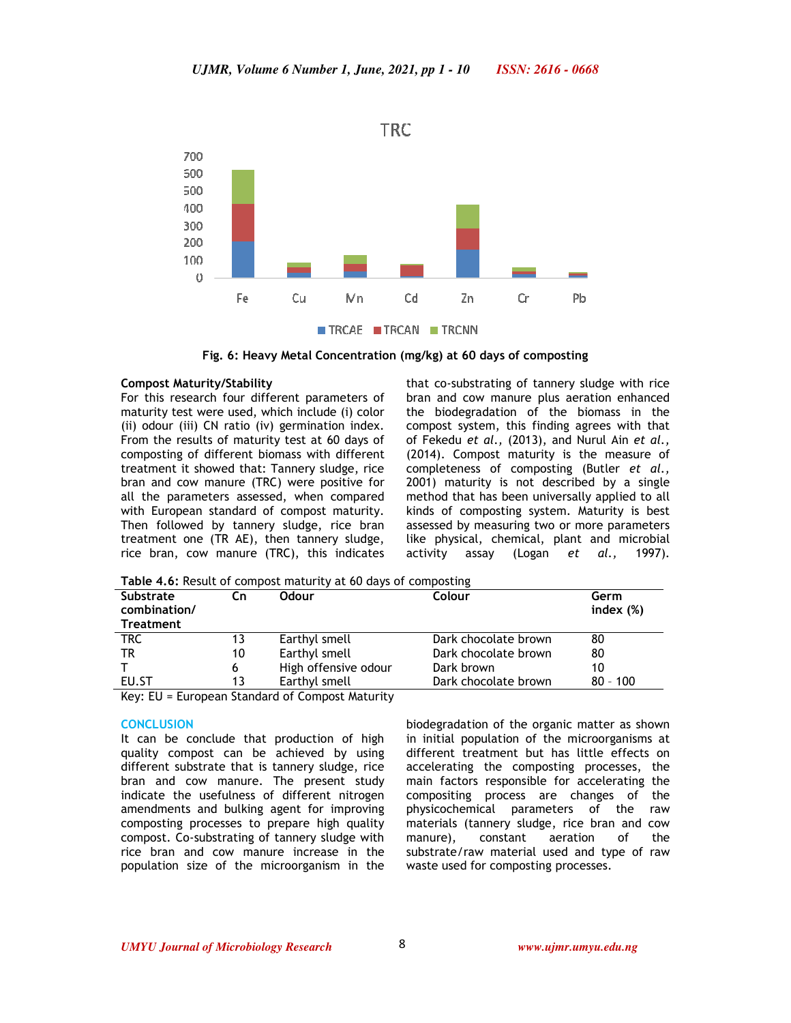

**Fig. 6: Heavy Metal Concentration (mg/kg) at 60 days of composting** 

### **Compost Maturity/Stability**

For this research four different parameters of maturity test were used, which include (i) color (ii) odour (iii) CN ratio (iv) germination index. From the results of maturity test at 60 days of composting of different biomass with different treatment it showed that: Tannery sludge, rice bran and cow manure (TRC) were positive for all the parameters assessed, when compared with European standard of compost maturity. Then followed by tannery sludge, rice bran treatment one (TR AE), then tannery sludge, rice bran, cow manure (TRC), this indicates that co-substrating of tannery sludge with rice bran and cow manure plus aeration enhanced the biodegradation of the biomass in the compost system, this finding agrees with that of Fekedu *et al.,* (2013), and Nurul Ain *et al.,* (2014). Compost maturity is the measure of completeness of composting (Butler *et al.,* 2001) maturity is not described by a single method that has been universally applied to all kinds of composting system. Maturity is best assessed by measuring two or more parameters like physical, chemical, plant and microbial activity assay (Logan *et al.,* 1997).

**Table 4.6:** Result of compost maturity at 60 days of composting

| <b>Substrate</b><br>combination/<br><b>Treatment</b> | Cn | Odour                | Colour               | Germ<br>index $(\%)$ |
|------------------------------------------------------|----|----------------------|----------------------|----------------------|
| <b>TRC</b>                                           | 13 | Earthyl smell        | Dark chocolate brown | 80                   |
| TR                                                   | 10 | Earthyl smell        | Dark chocolate brown | 80                   |
|                                                      | 6  | High offensive odour | Dark brown           | 10                   |
| EU.ST                                                | 13 | Earthyl smell        | Dark chocolate brown | $80 - 100$           |
| $\mathbf{r}$ $\mathbf{r}$<br>- -                     |    |                      |                      |                      |

Key: EU = European Standard of Compost Maturity

# **CONCLUSION**

It can be conclude that production of high quality compost can be achieved by using different substrate that is tannery sludge, rice bran and cow manure. The present study indicate the usefulness of different nitrogen amendments and bulking agent for improving composting processes to prepare high quality compost. Co-substrating of tannery sludge with rice bran and cow manure increase in the population size of the microorganism in the

biodegradation of the organic matter as shown in initial population of the microorganisms at different treatment but has little effects on accelerating the composting processes, the main factors responsible for accelerating the compositing process are changes of the physicochemical parameters of the raw materials (tannery sludge, rice bran and cow manure), constant aeration of the substrate/raw material used and type of raw waste used for composting processes.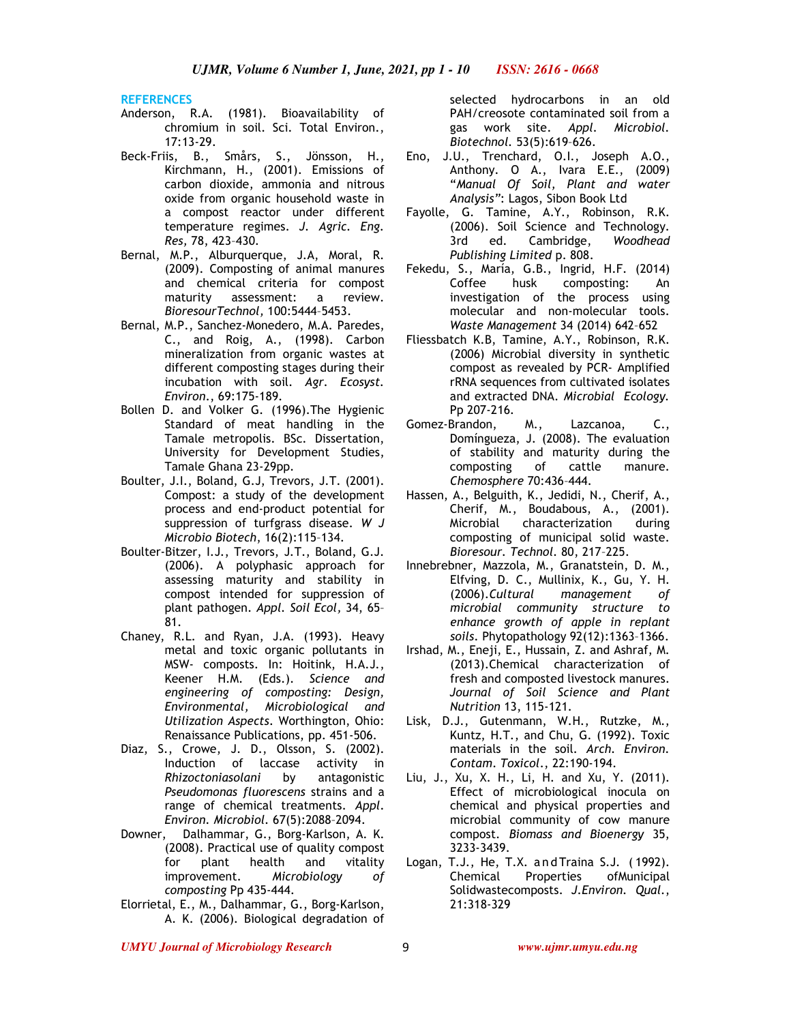**REFERENCES**

- Anderson, R.A. (1981). Bioavailability of chromium in soil. Sci. Total Environ., 17:13-29.
- Beck-Friis, B., Smårs, S., Jönsson, H., Kirchmann, H., (2001). Emissions of carbon dioxide, ammonia and nitrous oxide from organic household waste in a compost reactor under different temperature regimes. *J. Agric. Eng. Res,* 78, 423–430.
- Bernal, M.P., Alburquerque, J.A, Moral, R. (2009). Composting of animal manures and chemical criteria for compost maturity assessment: a review. *BioresourTechnol,* 100:5444–5453.
- Bernal, M.P., Sanchez-Monedero, M.A. Paredes, C., and Roig, A., (1998). Carbon mineralization from organic wastes at different composting stages during their incubation with soil. *Agr. Ecosyst. Environ*., 69:175-189.
- Bollen D. and Volker G. (1996).The Hygienic Standard of meat handling in the Tamale metropolis. BSc. Dissertation, University for Development Studies, Tamale Ghana 23-29pp.
- Boulter, J.I., Boland, G.J, Trevors, J.T. (2001). Compost: a study of the development process and end-product potential for suppression of turfgrass disease. *W J Microbio Biotech*, 16(2):115–134.
- Boulter-Bitzer, I.J., Trevors, J.T., Boland, G.J. (2006). A polyphasic approach for assessing maturity and stability in compost intended for suppression of plant pathogen. *Appl. Soil Ecol,* 34, 65– 81.
- Chaney, R.L. and Ryan, J.A. (1993). Heavy metal and toxic organic pollutants in MSW- composts. In: Hoitink, H.A.J., Keener H.M. (Eds.). *Science and engineering of composting: Design, Environmental, Microbiological and Utilization Aspects*. Worthington, Ohio: Renaissance Publications, pp. 451-506.
- Diaz, S., Crowe, J. D., Olsson, S. (2002). Induction of laccase activity in *Rhizoctoniasolani* by antagonistic *Pseudomonas fluorescens* strains and a range of chemical treatments. *Appl*. *Environ. Microbiol.* 67(5):2088–2094.
- Downer, Dalhammar, G., Borg-Karlson, A. K. (2008). Practical use of quality compost for plant health and vitality improvement. *Microbiology of composting* Pp 435-444.
- Elorrietal, E., M., Dalhammar, G., Borg-Karlson, A. K. (2006). Biological degradation of

selected hydrocarbons in an old PAH/creosote contaminated soil from a gas work site. *Appl. Microbiol. Biotechnol.* 53(5):619–626.

- Eno, J.U., Trenchard, O.I., Joseph A.O., Anthony. O A., Ivara E.E., (2009) "*Manual Of Soil, Plant and water Analysis"*: Lagos, Sibon Book Ltd
- Fayolle, G. Tamine, A.Y., Robinson, R.K. (2006). Soil Science and Technology. 3rd ed. Cambridge, *Woodhead Publishing Limited* p. 808.
- Fekedu, S., María, G.B., Ingrid, H.F. (2014) Coffee husk composting: An investigation of the process using molecular and non-molecular tools. *Waste Management* 34 (2014) 642–652
- Fliessbatch K.B, Tamine, A.Y., Robinson, R.K. (2006) Microbial diversity in synthetic compost as revealed by PCR- Amplified rRNA sequences from cultivated isolates and extracted DNA. *Microbial Ecology.* Pp 207-216.
- Gomez-Brandon, M., Lazcanoa, C., Domíngueza, J. (2008). The evaluation of stability and maturity during the composting of cattle manure. *Chemosphere* 70:436–444.
- Hassen, A., Belguith, K., Jedidi, N., Cherif, A., Cherif, M., Boudabous, A., (2001). Microbial characterization during composting of municipal solid waste. *Bioresour. Technol.* 80, 217–225.
- Innebrebner, Mazzola, M., Granatstein, D. M., Elfving, D. C., Mullinix, K., Gu, Y. H. (2006).*Cultural management of microbial community structure to enhance growth of apple in replant soils*. Phytopathology 92(12):1363–1366.
- Irshad, M., Eneji, E., Hussain, Z. and Ashraf, M. (2013).Chemical characterization of fresh and composted livestock manures. *Journal of Soil Science and Plant Nutrition* 13, 115-121.
- Lisk, D.J., Gutenmann, W.H., Rutzke, M., Kuntz, H.T., and Chu, G. (1992). Toxic materials in the soil. *Arch. Environ. Contam*. *Toxicol*., 22:190-194.
- Liu, J., Xu, X. H., Li, H. and Xu, Y. (2011). Effect of microbiological inocula on chemical and physical properties and microbial community of cow manure compost. *Biomass and Bioenergy* 35, 3233-3439.
- Logan, T.J., He, T.X. a nd Traina S.J. ( 1992). Chemical Properties ofMunicipal Solidwastecomposts. *J.Environ. Qual.*, 21:318-329

*UMYU Journal of Microbiology Research www.ujmr.umyu.edu.ng*